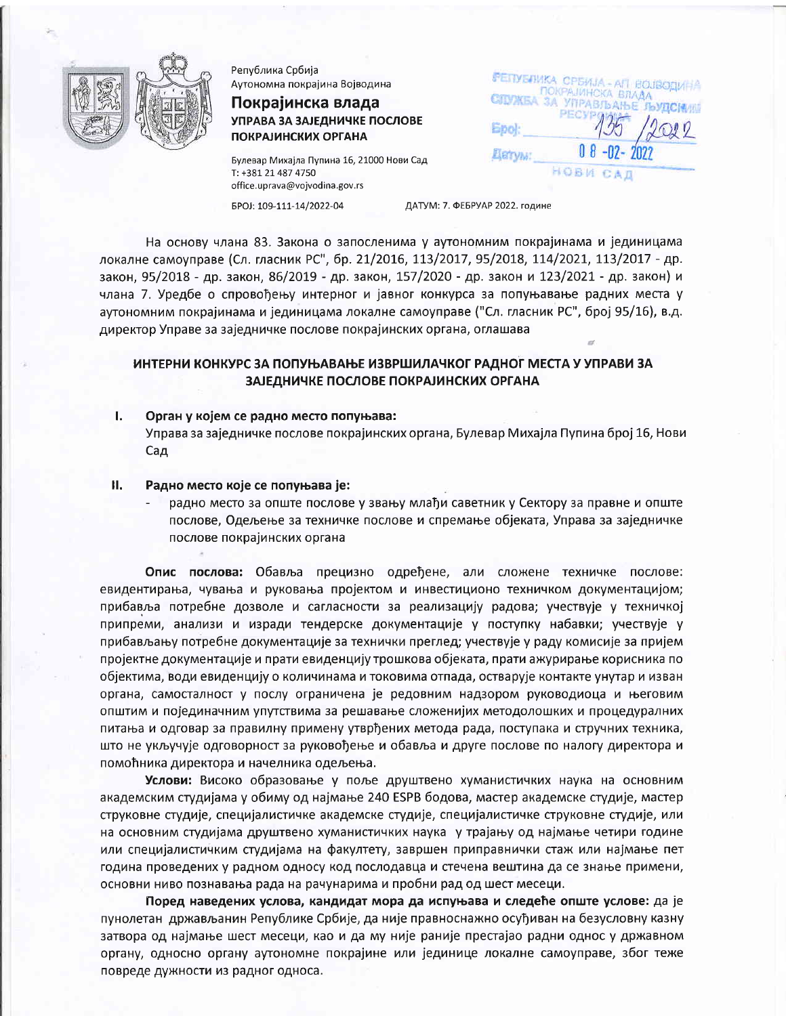

Република Србија Аутономна покрајина Војводина

# Покрајинска влада УПРАВА ЗА ЗАЈЕДНИЧКЕ ПОСЛОВЕ **ПОКРАЈИНСКИХ ОРГАНА**

Булевар Михајла Пупина 16, 21000 Нови Сад T: +381 21 487 4750 office.uprava@vojvodina.gov.rs

EPOJ: 109-111-14/2022-04

ДАТУМ: 7. ФЕБРУАР 2022. године

Epol:

**Eleryw:** 

РЕПУБЛИКА СРБИЈА - АП ВОЈВОДИ

CIDYKEA 3A YUPABJLAILE

PECVP

HOBW

ПОКРАЈИНСКА ВЛАДА

На основу члана 83. Закона о запосленима у аутономним покрајинама и јединицама локалне самоуправе (Сл. гласник РС", бр. 21/2016, 113/2017, 95/2018, 114/2021, 113/2017 - др. закон, 95/2018 - др. закон, 86/2019 - др. закон, 157/2020 - др. закон и 123/2021 - др. закон) и члана 7. Уредбе о спровођењу интерног и јавног конкурса за попуњавање радних места у аутономним покрајинама и јединицама локалне самоуправе ("Сл. гласник РС", број 95/16), в.д. директор Управе за заједничке послове покрајинских органа, оглашава

# ИНТЕРНИ КОНКУРС ЗА ПОПУЊАВАЊЕ ИЗВРШИЛАЧКОГ РАДНОГ МЕСТА У УПРАВИ ЗА ЗАЈЕДНИЧКЕ ПОСЛОВЕ ПОКРАЈИНСКИХ ОРГАНА

ī. Орган у којем се радно место попуњава:

> Управа за заједничке послове покрајинских органа, Булевар Михајла Пупина број 16, Нови Сад

#### Н. Радно место које се попуњава је:

радно место за опште послове у звању млађи саветник у Сектору за правне и опште послове, Одељење за техничке послове и спремање објеката, Управа за заједничке послове покрајинских органа

Опис послова: Обавља прецизно одређене, али сложене техничке послове: евидентирања, чувања и руковања пројектом и инвестиционо техничком документацијом; прибавља потребне дозволе и сагласности за реализацију радова; учествује у техничкој припреми, анализи и изради тендерске документације у поступку набавки; учествује у прибављању потребне документације за технички преглед; учествује у раду комисије за пријем пројектне документације и прати евиденцију трошкова објеката, прати ажурирање корисника по објектима, води евиденцију о количинама и токовима отпада, остварује контакте унутар и изван органа, самосталност у послу ограничена је редовним надзором руководиоца и његовим општим и појединачним упутствима за решавање сложенијих методолошких и процедуралних питања и одговар за правилну примену утврђених метода рада, поступака и стручних техника, што не укључује одговорност за руковођење и обавља и друге послове по налогу директора и помоћника директора и начелника одељења.

Услови: Високо образовање у поље друштвено хуманистичких наука на основним академским студијама у обиму од најмање 240 ESPB бодова, мастер академске студије, мастер струковне студије, специјалистичке академске студије, специјалистичке струковне студије, или на основним студијама друштвено хуманистичких наука у трајању од најмање четири године или специјалистичким студијама на факултету, завршен приправнички стаж или најмање пет година проведених у радном односу код послодавца и стечена вештина да се знање примени, основни ниво познавања рада на рачунарима и пробни рад од шест месеци.

Поред наведених услова, кандидат мора да испуњава и следеће опште услове: да је пунолетан држављанин Републике Србије, да није правноснажно осуђиван на безусловну казну затвора од најмање шест месеци, као и да му није раније престајао радни однос у државном органу, односно органу аутономне покрајине или јединице локалне самоуправе, због теже повреде дужности из радног односа.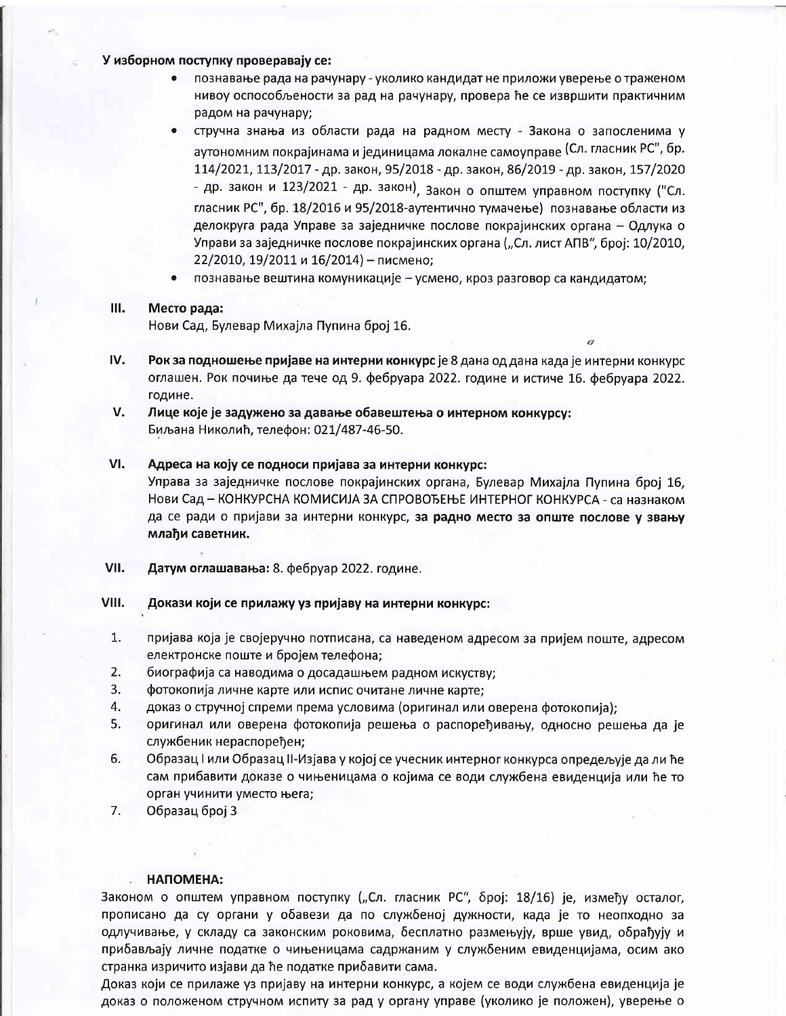### У изборном поступку проверавају се:

- познавање рада на рачунару уколико кандидат не приложи уверење о траженом  $\bullet$ нивоу оспособљености за рад на рачунару, провера ће се извршити практичним радом на рачунару;
- стручна знања из области рада на радном месту Закона о запосленима у аутономним покрајинама и јединицама локалне самоуправе (Сл. гласник РС", бр. 114/2021, 113/2017 - др. закон, 95/2018 - др. закон, 86/2019 - др. закон, 157/2020 - др. закон и 123/2021 - др. закон), Закон о општем управном поступку ("Сл. гласник РС", бр. 18/2016 и 95/2018-аутентично тумачење) познавање области из делокруга рада Управе за заједничке послове покрајинских органа - Одлука о Управи за заједничке послове покрајинских органа ("Сл. лист АПВ", број: 10/2010, 22/2010, 19/2011 и 16/2014) - писмено;
- познавање вештина комуникације усмено, кроз разговор са кандидатом;

#### III. Место рада:

Нови Сад, Булевар Михајла Пупина број 16.

- IV. Рок за подношење пријаве на интерни конкурс је 8 дана од дана када је интерни конкурс оглашен. Рок почиње да тече од 9. фебруара 2022. године и истиче 16. фебруара 2022. године.
- V. Лице које је задужено за давање обавештења о интерном конкурсу: Биљана Николић, телефон: 021/487-46-50.

### VI. Адреса на коју се подноси пријава за интерни конкурс:

Управа за заједничке послове покрајинских органа, Булевар Михајла Пупина број 16, Нови Сад – КОНКУРСНА КОМИСИЈА ЗА СПРОВОЂЕЊЕ ИНТЕРНОГ КОНКУРСА - са назнаком да се ради о пријави за интерни конкурс, за радно место за опште послове у звању млађи саветник.

- VII. Датум оглашавања: 8. фебруар 2022. године.
- VIII. Докази који се прилажу уз пријаву на интерни конкурс:
	- $1.$ пријава која је својеручно потписана, са наведеном адресом за пријем поште, адресом електронске поште и бројем телефона;
	- $2.$ биографија са наводима о досадашњем радном искуству;
	- 3. фотокопија личне карте или испис очитане личне карте;
	- 4. доказ о стручној спреми према условима (оригинал или оверена фотокопија);
	- 5. оригинал или оверена фотокопија решења о распоређивању, односно решења да је службеник нераспоређен;
	- Образац I или Образац II-Изјава у којој се учесник интерног конкурса опредељује да ли ће 6. сам прибавити доказе о чињеницама о којима се води службена евиденција или ће то орган учинити уместо њега;
	- 7. Образац број 3

## НАПОМЕНА:

Законом о општем управном поступку ("Сл. гласник РС", број: 18/16) је, између осталог, прописано да су органи у обавези да по службеној дужности, када је то неопходно за одлучивање, у складу са законским роковима, бесплатно размењују, врше увид, обрађују и прибављају личне податке о чињеницама садржаним у службеним евиденцијама, осим ако странка изричито изјави да ће податке прибавити сама.

Доказ који се прилаже уз пријаву на интерни конкурс, а којем се води службена евиденција је доказ о положеном стручном испиту за рад у органу управе (уколико је положен), уверење о